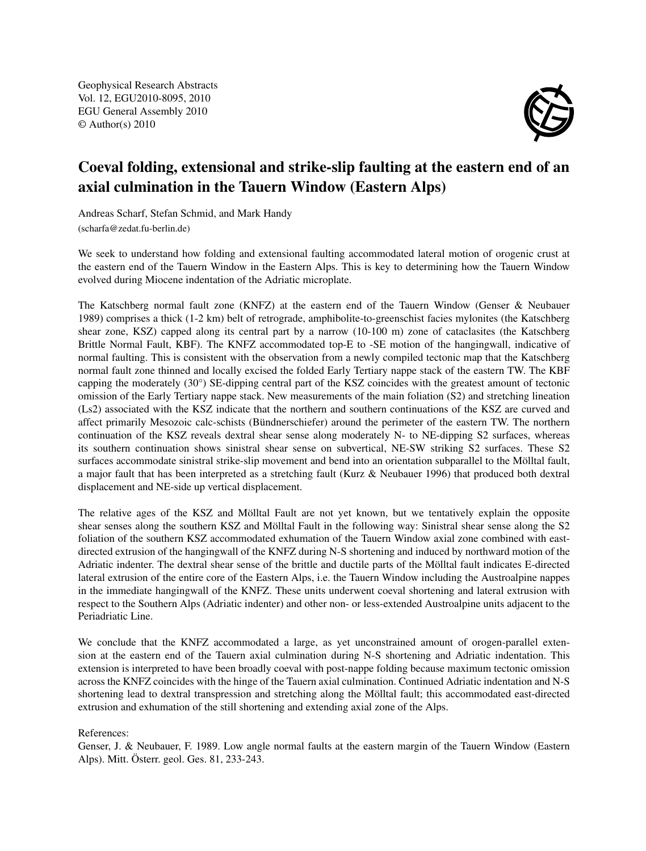Geophysical Research Abstracts Vol. 12, EGU2010-8095, 2010 EGU General Assembly 2010 © Author(s) 2010



## Coeval folding, extensional and strike-slip faulting at the eastern end of an axial culmination in the Tauern Window (Eastern Alps)

Andreas Scharf, Stefan Schmid, and Mark Handy (scharfa@zedat.fu-berlin.de)

We seek to understand how folding and extensional faulting accommodated lateral motion of orogenic crust at the eastern end of the Tauern Window in the Eastern Alps. This is key to determining how the Tauern Window evolved during Miocene indentation of the Adriatic microplate.

The Katschberg normal fault zone (KNFZ) at the eastern end of the Tauern Window (Genser & Neubauer 1989) comprises a thick (1-2 km) belt of retrograde, amphibolite-to-greenschist facies mylonites (the Katschberg shear zone, KSZ) capped along its central part by a narrow (10-100 m) zone of cataclasites (the Katschberg Brittle Normal Fault, KBF). The KNFZ accommodated top-E to -SE motion of the hangingwall, indicative of normal faulting. This is consistent with the observation from a newly compiled tectonic map that the Katschberg normal fault zone thinned and locally excised the folded Early Tertiary nappe stack of the eastern TW. The KBF capping the moderately (30°) SE-dipping central part of the KSZ coincides with the greatest amount of tectonic omission of the Early Tertiary nappe stack. New measurements of the main foliation (S2) and stretching lineation (Ls2) associated with the KSZ indicate that the northern and southern continuations of the KSZ are curved and affect primarily Mesozoic calc-schists (Bündnerschiefer) around the perimeter of the eastern TW. The northern continuation of the KSZ reveals dextral shear sense along moderately N- to NE-dipping S2 surfaces, whereas its southern continuation shows sinistral shear sense on subvertical, NE-SW striking S2 surfaces. These S2 surfaces accommodate sinistral strike-slip movement and bend into an orientation subparallel to the Mölltal fault, a major fault that has been interpreted as a stretching fault (Kurz & Neubauer 1996) that produced both dextral displacement and NE-side up vertical displacement.

The relative ages of the KSZ and Mölltal Fault are not yet known, but we tentatively explain the opposite shear senses along the southern KSZ and Mölltal Fault in the following way: Sinistral shear sense along the S2 foliation of the southern KSZ accommodated exhumation of the Tauern Window axial zone combined with eastdirected extrusion of the hangingwall of the KNFZ during N-S shortening and induced by northward motion of the Adriatic indenter. The dextral shear sense of the brittle and ductile parts of the Mölltal fault indicates E-directed lateral extrusion of the entire core of the Eastern Alps, i.e. the Tauern Window including the Austroalpine nappes in the immediate hangingwall of the KNFZ. These units underwent coeval shortening and lateral extrusion with respect to the Southern Alps (Adriatic indenter) and other non- or less-extended Austroalpine units adjacent to the Periadriatic Line.

We conclude that the KNFZ accommodated a large, as yet unconstrained amount of orogen-parallel extension at the eastern end of the Tauern axial culmination during N-S shortening and Adriatic indentation. This extension is interpreted to have been broadly coeval with post-nappe folding because maximum tectonic omission across the KNFZ coincides with the hinge of the Tauern axial culmination. Continued Adriatic indentation and N-S shortening lead to dextral transpression and stretching along the Mölltal fault; this accommodated east-directed extrusion and exhumation of the still shortening and extending axial zone of the Alps.

## References:

Genser, J. & Neubauer, F. 1989. Low angle normal faults at the eastern margin of the Tauern Window (Eastern Alps). Mitt. Österr. geol. Ges. 81, 233-243.